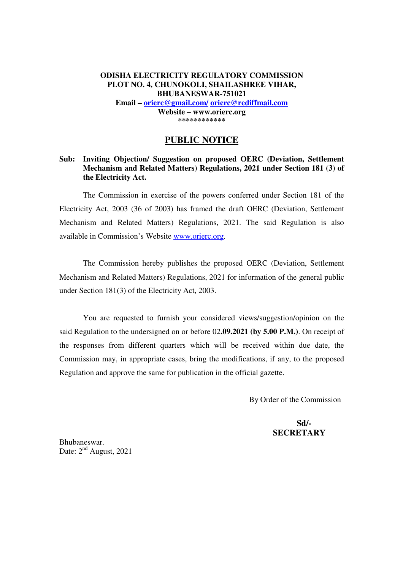# **ODISHA ELECTRICITY REGULATORY COMMISSION PLOT NO. 4, CHUNOKOLI, SHAILASHREE VIHAR, BHUBANESWAR-751021 Email – orierc@gmail.com/ orierc@rediffmail.com Website – www.orierc.org \*\*\*\*\*\*\*\*\*\*\*\***

# **PUBLIC NOTICE**

# **Sub: Inviting Objection/ Suggestion on proposed OERC (Deviation, Settlement Mechanism and Related Matters) Regulations, 2021 under Section 181 (3) of the Electricity Act.**

The Commission in exercise of the powers conferred under Section 181 of the Electricity Act, 2003 (36 of 2003) has framed the draft OERC (Deviation, Settlement Mechanism and Related Matters) Regulations, 2021. The said Regulation is also available in Commission's Website www.orierc.org.

 The Commission hereby publishes the proposed OERC (Deviation, Settlement Mechanism and Related Matters) Regulations, 2021 for information of the general public under Section 181(3) of the Electricity Act, 2003.

 You are requested to furnish your considered views/suggestion/opinion on the said Regulation to the undersigned on or before 02**.09.2021 (by 5.00 P.M.)**. On receipt of the responses from different quarters which will be received within due date, the Commission may, in appropriate cases, bring the modifications, if any, to the proposed Regulation and approve the same for publication in the official gazette.

By Order of the Commission

 **Sd/- SECRETARY** 

Bhubaneswar. Date:  $2<sup>nd</sup>$  August, 2021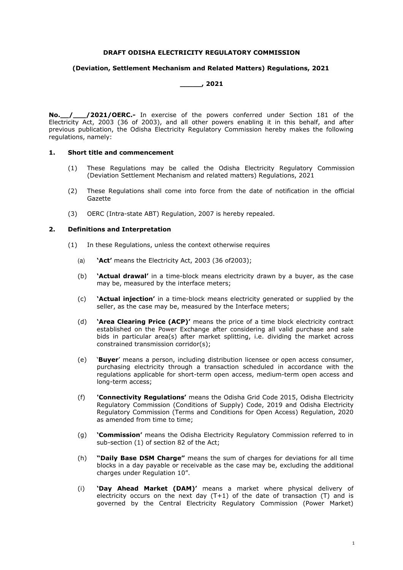#### **DRAFT ODISHA ELECTRICITY REGULATORY COMMISSION**

#### **(Deviation, Settlement Mechanism and Related Matters) Regulations, 2021**

#### **\_\_\_\_\_, 2021**

**No.\_\_/\_\_\_/2021/OERC.-** In exercise of the powers conferred under Section 181 of the Electricity Act, 2003 (36 of 2003), and all other powers enabling it in this behalf, and after previous publication, the Odisha Electricity Regulatory Commission hereby makes the following regulations, namely:

#### **1. Short title and commencement**

- (1) These Regulations may be called the Odisha Electricity Regulatory Commission (Deviation Settlement Mechanism and related matters) Regulations, 2021
- (2) These Regulations shall come into force from the date of notification in the official Gazette
- (3) OERC (Intra-state ABT) Regulation, 2007 is hereby repealed.

#### **2. Definitions and Interpretation**

- (1) In these Regulations, unless the context otherwise requires
	- (a) **'Act'** means the Electricity Act, 2003 (36 of2003);
	- (b) **'Actual drawal'** in a time-block means electricity drawn by a buyer, as the case may be, measured by the interface meters;
	- (c) **'Actual injection'** in a time-block means electricity generated or supplied by the seller, as the case may be, measured by the Interface meters;
	- (d) **'Area Clearing Price (ACP)'** means the price of a time block electricity contract established on the Power Exchange after considering all valid purchase and sale bids in particular area(s) after market splitting, i.e. dividing the market across constrained transmission corridor(s);
	- (e) **Euver** means a person, including distribution licensee or open access consumer, purchasing electricity through a transaction scheduled in accordance with the regulations applicable for short-term open access, medium-term open access and long-term access;
	- (f) **'Connectivity Regulations'** means the Odisha Grid Code 2015, Odisha Electricity Regulatory Commission (Conditions of Supply) Code, 2019 and Odisha Electricity Regulatory Commission (Terms and Conditions for Open Access) Regulation, 2020 as amended from time to time;
	- (g) **'Commission'** means the Odisha Electricity Regulatory Commission referred to in sub-section (1) of section 82 of the Act;
	- (h) **"Daily Base DSM Charge"** means the sum of charges for deviations for all time blocks in a day payable or receivable as the case may be, excluding the additional charges under Regulation 10".
	- (i) **'Day Ahead Market (DAM)'** means a market where physical delivery of electricity occurs on the next day  $(T+1)$  of the date of transaction  $(T)$  and is governed by the Central Electricity Regulatory Commission (Power Market)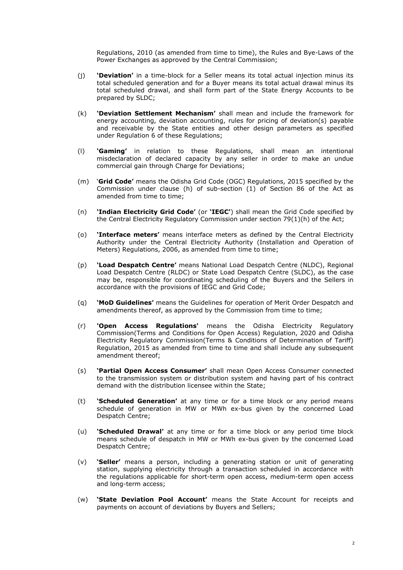Regulations, 2010 (as amended from time to time), the Rules and Bye-Laws of the Power Exchanges as approved by the Central Commission;

- (j) **'Deviation'** in a time-block for a Seller means its total actual injection minus its total scheduled generation and for a Buyer means its total actual drawal minus its total scheduled drawal, and shall form part of the State Energy Accounts to be prepared by SLDC;
- (k) **'Deviation Settlement Mechanism'** shall mean and include the framework for energy accounting, deviation accounting, rules for pricing of deviation(s) payable and receivable by the State entities and other design parameters as specified under Regulation 6 of these Regulations;
- (l) **'Gaming'** in relation to these Regulations, shall mean an intentional misdeclaration of declared capacity by any seller in order to make an undue commercial gain through Charge for Deviations;
- (m) ë**Grid Code'** means the Odisha Grid Code (OGC) Regulations, 2015 specified by the Commission under clause (h) of sub-section (1) of Section 86 of the Act as amended from time to time;
- (n) **'Indian Electricity Grid Code'** (or **'IEGC'**) shall mean the Grid Code specified by the Central Electricity Regulatory Commission under section 79(1)(h) of the Act;
- (o) **'Interface meters'** means interface meters as defined by the Central Electricity Authority under the Central Electricity Authority (Installation and Operation of Meters) Regulations, 2006, as amended from time to time;
- (p) **'Load Despatch Centre'** means National Load Despatch Centre (NLDC), Regional Load Despatch Centre (RLDC) or State Load Despatch Centre (SLDC), as the case may be, responsible for coordinating scheduling of the Buyers and the Sellers in accordance with the provisions of IEGC and Grid Code;
- (q) **'MoD Guidelines'** means the Guidelines for operation of Merit Order Despatch and amendments thereof, as approved by the Commission from time to time;
- (r) **'Open Access Regulations'** means the Odisha Electricity Regulatory Commission(Terms and Conditions for Open Access) Regulation, 2020 and Odisha Electricity Regulatory Commission(Terms & Conditions of Determination of Tariff) Regulation, 2015 as amended from time to time and shall include any subsequent amendment thereof;
- (s) **'Partial Open Access Consumer'** shall mean Open Access Consumer connected to the transmission system or distribution system and having part of his contract demand with the distribution licensee within the State;
- (t) **'Scheduled Generation'** at any time or for a time block or any period means schedule of generation in MW or MWh ex-bus given by the concerned Load Despatch Centre;
- (u) **'Scheduled Drawal'** at any time or for a time block or any period time block means schedule of despatch in MW or MWh ex-bus given by the concerned Load Despatch Centre;
- (v) **'Seller'** means a person, including a generating station or unit of generating station, supplying electricity through a transaction scheduled in accordance with the regulations applicable for short-term open access, medium-term open access and long-term access;
- (w) **'State Deviation Pool Account'** means the State Account for receipts and payments on account of deviations by Buyers and Sellers;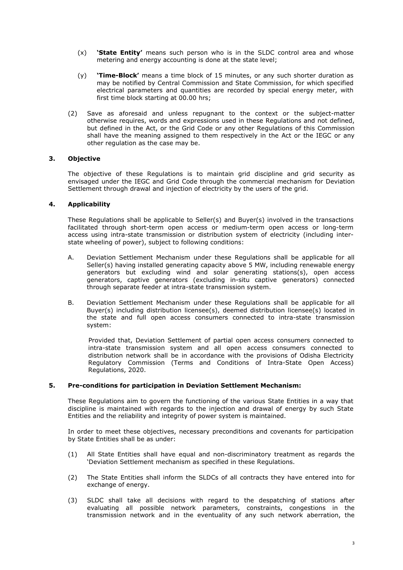- (x) **'State Entity'** means such person who is in the SLDC control area and whose metering and energy accounting is done at the state level;
- (y) **'Time-Block'** means a time block of 15 minutes, or any such shorter duration as may be notified by Central Commission and State Commission, for which specified electrical parameters and quantities are recorded by special energy meter, with first time block starting at 00.00 hrs;
- (2) Save as aforesaid and unless repugnant to the context or the subject-matter otherwise requires, words and expressions used in these Regulations and not defined, but defined in the Act, or the Grid Code or any other Regulations of this Commission shall have the meaning assigned to them respectively in the Act or the IEGC or any other regulation as the case may be.

# **3. Objective**

The objective of these Regulations is to maintain grid discipline and grid security as envisaged under the IEGC and Grid Code through the commercial mechanism for Deviation Settlement through drawal and injection of electricity by the users of the grid.

# **4. Applicability**

These Regulations shall be applicable to Seller(s) and Buyer(s) involved in the transactions facilitated through short-term open access or medium-term open access or long-term access using intra-state transmission or distribution system of electricity (including interstate wheeling of power), subject to following conditions:

- A. Deviation Settlement Mechanism under these Regulations shall be applicable for all Seller(s) having installed generating capacity above 5 MW, including renewable energy generators but excluding wind and solar generating stations(s), open access generators, captive generators (excluding in-situ captive generators) connected through separate feeder at intra-state transmission system.
- B. Deviation Settlement Mechanism under these Regulations shall be applicable for all Buyer(s) including distribution licensee(s), deemed distribution licensee(s) located in the state and full open access consumers connected to intra-state transmission system:

Provided that, Deviation Settlement of partial open access consumers connected to intra-state transmission system and all open access consumers connected to distribution network shall be in accordance with the provisions of Odisha Electricity Regulatory Commission (Terms and Conditions of Intra-State Open Access) Regulations, 2020.

# **5. Pre-conditions for participation in Deviation Settlement Mechanism:**

These Regulations aim to govern the functioning of the various State Entities in a way that discipline is maintained with regards to the injection and drawal of energy by such State Entities and the reliability and integrity of power system is maintained.

In order to meet these objectives, necessary preconditions and covenants for participation by State Entities shall be as under:

- (1) All State Entities shall have equal and non-discriminatory treatment as regards the 'Deviation Settlement mechanism as specified in these Regulations.
- (2) The State Entities shall inform the SLDCs of all contracts they have entered into for exchange of energy.
- (3) SLDC shall take all decisions with regard to the despatching of stations after evaluating all possible network parameters, constraints, congestions in the transmission network and in the eventuality of any such network aberration, the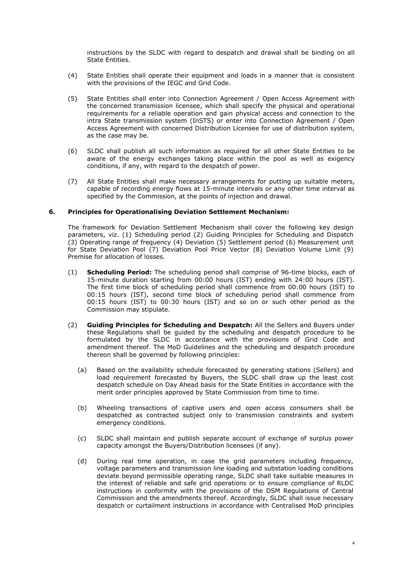instructions by the SLDC with regard to despatch and drawal shall be binding on all State Entities.

- (4) State Entities shall operate their equipment and loads in a manner that is consistent with the provisions of the IEGC and Grid Code.
- (5) State Entities shall enter into Connection Agreement / Open Access Agreement with the concerned transmission licensee, which shall specify the physical and operational requirements for a reliable operation and gain physical access and connection to the intra State transmission system (InSTS) or enter into Connection Agreement / Open Access Agreement with concerned Distribution Licensee for use of distribution system, as the case may be.
- (6) SLDC shall publish all such information as required for all other State Entities to be aware of the energy exchanges taking place within the pool as well as exigency conditions, if any, with regard to the despatch of power.
- (7) All State Entities shall make necessary arrangements for putting up suitable meters, capable of recording energy flows at 15-minute intervals or any other time interval as specified by the Commission, at the points of injection and drawal.

# **6. Principles for Operationalising Deviation Settlement Mechanism:**

The framework for Deviation Settlement Mechanism shall cover the following key design parameters, viz. (1) Scheduling period (2) Guiding Principles for Scheduling and Dispatch (3) Operating range of frequency (4) Deviation (5) Settlement period (6) Measurement unit for State Deviation Pool (7) Deviation Pool Price Vector (8) Deviation Volume Limit (9) Premise for allocation of losses.

- (1) **Scheduling Period:** The scheduling period shall comprise of 96-time blocks, each of 15-minute duration starting from 00:00 hours (IST) ending with 24:00 hours (IST). The first time block of scheduling period shall commence from 00:00 hours (IST) to 00:15 hours (IST), second time block of scheduling period shall commence from 00:15 hours (IST) to 00:30 hours (IST) and so on or such other period as the Commission may stipulate.
- (2) **Guiding Principles for Scheduling and Despatch:** All the Sellers and Buyers under these Regulations shall be guided by the scheduling and despatch procedure to be formulated by the SLDC in accordance with the provisions of Grid Code and amendment thereof. The MoD Guidelines and the scheduling and despatch procedure thereon shall be governed by following principles:
	- (a) Based on the availability schedule forecasted by generating stations (Sellers) and load requirement forecasted by Buyers, the SLDC shall draw up the least cost despatch schedule on Day Ahead basis for the State Entities in accordance with the merit order principles approved by State Commission from time to time.
	- (b) Wheeling transactions of captive users and open access consumers shall be despatched as contracted subject only to transmission constraints and system emergency conditions.
	- (c) SLDC shall maintain and publish separate account of exchange of surplus power capacity amongst the Buyers/Distribution licensees (if any).
	- (d) During real time operation, in case the grid parameters including frequency, voltage parameters and transmission line loading and substation loading conditions deviate beyond permissible operating range, SLDC shall take suitable measures in the interest of reliable and safe grid operations or to ensure compliance of RLDC instructions in conformity with the provisions of the DSM Regulations of Central Commission and the amendments thereof. Accordingly, SLDC shall issue necessary despatch or curtailment instructions in accordance with Centralised MoD principles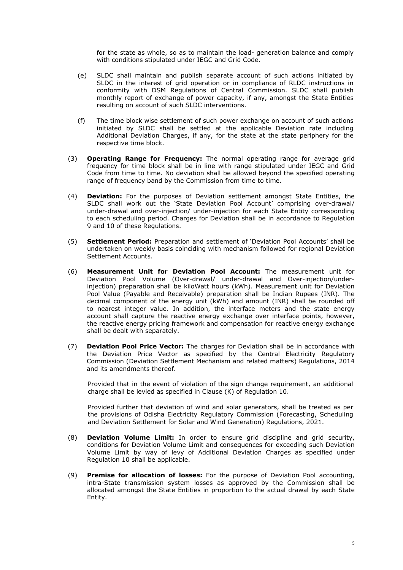for the state as whole, so as to maintain the load- generation balance and comply with conditions stipulated under IEGC and Grid Code.

- (e) SLDC shall maintain and publish separate account of such actions initiated by SLDC in the interest of grid operation or in compliance of RLDC instructions in conformity with DSM Regulations of Central Commission. SLDC shall publish monthly report of exchange of power capacity, if any, amongst the State Entities resulting on account of such SLDC interventions.
- (f) The time block wise settlement of such power exchange on account of such actions initiated by SLDC shall be settled at the applicable Deviation rate including Additional Deviation Charges, if any, for the state at the state periphery for the respective time block.
- (3) **Operating Range for Frequency:** The normal operating range for average grid frequency for time block shall be in line with range stipulated under IEGC and Grid Code from time to time. No deviation shall be allowed beyond the specified operating range of frequency band by the Commission from time to time.
- (4) **Deviation:** For the purposes of Deviation settlement amongst State Entities, the SLDC shall work out the 'State Deviation Pool Account' comprising over-drawal/ under-drawal and over-injection/ under-injection for each State Entity corresponding to each scheduling period. Charges for Deviation shall be in accordance to Regulation 9 and 10 of these Regulations.
- (5) **Settlement Period:** Preparation and settlement of ëDeviation Pool Accountsí shall be undertaken on weekly basis coinciding with mechanism followed for regional Deviation Settlement Accounts.
- (6) **Measurement Unit for Deviation Pool Account:** The measurement unit for Deviation Pool Volume (Over-drawal/ under-drawal and Over-injection/underinjection) preparation shall be kiloWatt hours (kWh). Measurement unit for Deviation Pool Value (Payable and Receivable) preparation shall be Indian Rupees (INR). The decimal component of the energy unit (kWh) and amount (INR) shall be rounded off to nearest integer value. In addition, the interface meters and the state energy account shall capture the reactive energy exchange over interface points, however, the reactive energy pricing framework and compensation for reactive energy exchange shall be dealt with separately.
- (7) **Deviation Pool Price Vector:** The charges for Deviation shall be in accordance with the Deviation Price Vector as specified by the Central Electricity Regulatory Commission (Deviation Settlement Mechanism and related matters) Regulations, 2014 and its amendments thereof.

Provided that in the event of violation of the sign change requirement, an additional charge shall be levied as specified in Clause (K) of Regulation 10.

Provided further that deviation of wind and solar generators, shall be treated as per the provisions of Odisha Electricity Regulatory Commission (Forecasting, Scheduling and Deviation Settlement for Solar and Wind Generation) Regulations, 2021.

- (8) **Deviation Volume Limit:** In order to ensure grid discipline and grid security, conditions for Deviation Volume Limit and consequences for exceeding such Deviation Volume Limit by way of levy of Additional Deviation Charges as specified under Regulation 10 shall be applicable.
- (9) **Premise for allocation of losses:** For the purpose of Deviation Pool accounting, intra-State transmission system losses as approved by the Commission shall be allocated amongst the State Entities in proportion to the actual drawal by each State Entity.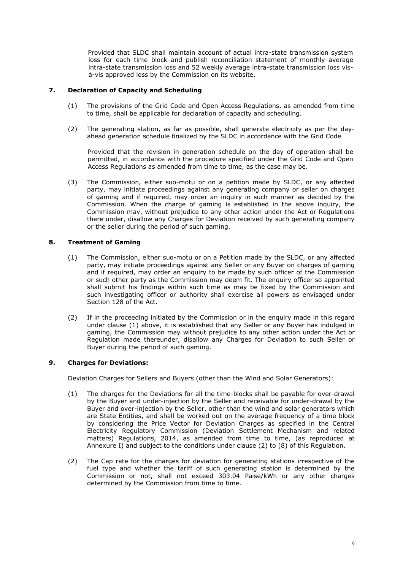Provided that SLDC shall maintain account of actual intra-state transmission system loss for each time block and publish reconciliation statement of monthly average intra-state transmission loss and 52 weekly average intra-state transmission loss vis à-vis approved loss by the Commission on its website.

# **7. Declaration of Capacity and Scheduling**

- (1) The provisions of the Grid Code and Open Access Regulations, as amended from time to time, shall be applicable for declaration of capacity and scheduling.
- (2) The generating station, as far as possible, shall generate electricity as per the dayahead generation schedule finalized by the SLDC in accordance with the Grid Code

Provided that the revision in generation schedule on the day of operation shall be permitted, in accordance with the procedure specified under the Grid Code and Open Access Regulations as amended from time to time, as the case may be.

(3) The Commission, either suo-motu or on a petition made by SLDC, or any affected party, may initiate proceedings against any generating company or seller on charges of gaming and if required, may order an inquiry in such manner as decided by the Commission. When the charge of gaming is established in the above inquiry, the Commission may, without prejudice to any other action under the Act or Regulations there under, disallow any Charges for Deviation received by such generating company or the seller during the period of such gaming.

# **8. Treatment of Gaming**

- (1) The Commission, either suo-motu or on a Petition made by the SLDC, or any affected party, may initiate proceedings against any Seller or any Buyer on charges of gaming and if required, may order an enquiry to be made by such officer of the Commission or such other party as the Commission may deem fit. The enquiry officer so appointed shall submit his findings within such time as may be fixed by the Commission and such investigating officer or authority shall exercise all powers as envisaged under Section 128 of the Act.
- (2) If in the proceeding initiated by the Commission or in the enquiry made in this regard under clause (1) above, it is established that any Seller or any Buyer has indulged in gaming, the Commission may without prejudice to any other action under the Act or Regulation made thereunder, disallow any Charges for Deviation to such Seller or Buyer during the period of such gaming.

# **9. Charges for Deviations:**

Deviation Charges for Sellers and Buyers (other than the Wind and Solar Generators):

- (1) The charges for the Deviations for all the time-blocks shall be payable for over-drawal by the Buyer and under-injection by the Seller and receivable for under-drawal by the Buyer and over-injection by the Seller, other than the wind and solar generators which are State Entities, and shall be worked out on the average frequency of a time block by considering the Price Vector for Deviation Charges as specified in the Central Electricity Regulatory Commission (Deviation Settlement Mechanism and related matters) Regulations, 2014, as amended from time to time, (as reproduced at Annexure I) and subject to the conditions under clause (2) to (8) of this Regulation.
- (2) The Cap rate for the charges for deviation for generating stations irrespective of the fuel type and whether the tariff of such generating station is determined by the Commission or not, shall not exceed 303.04 Paise/kWh or any other charges determined by the Commission from time to time.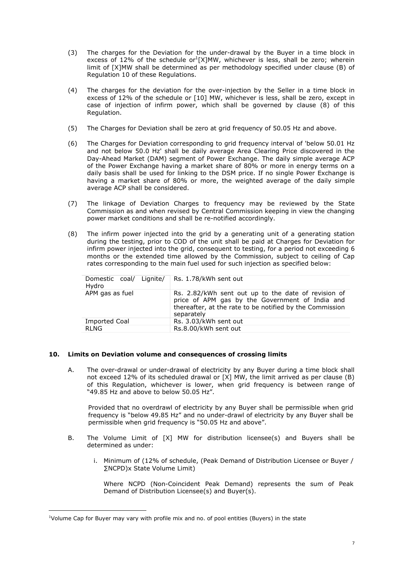- (3) The charges for the Deviation for the under-drawal by the Buyer in a time block in excess of 12% of the schedule or<sup>1</sup>[X]MW, whichever is less, shall be zero; wherein limit of [X]MW shall be determined as per methodology specified under clause (B) of Regulation 10 of these Regulations.
- (4) The charges for the deviation for the over-injection by the Seller in a time block in excess of 12% of the schedule or [10] MW, whichever is less, shall be zero, except in case of injection of infirm power, which shall be governed by clause (8) of this Regulation.
- (5) The Charges for Deviation shall be zero at grid frequency of 50.05 Hz and above.
- (6) The Charges for Deviation corresponding to grid frequency interval of 'below 50.01 Hz and not below 50.0 Hz' shall be daily average Area Clearing Price discovered in the Day-Ahead Market (DAM) segment of Power Exchange. The daily simple average ACP of the Power Exchange having a market share of 80% or more in energy terms on a daily basis shall be used for linking to the DSM price. If no single Power Exchange is having a market share of 80% or more, the weighted average of the daily simple average ACP shall be considered.
- (7) The linkage of Deviation Charges to frequency may be reviewed by the State Commission as and when revised by Central Commission keeping in view the changing power market conditions and shall be re-notified accordingly.
- (8) The infirm power injected into the grid by a generating unit of a generating station during the testing, prior to COD of the unit shall be paid at Charges for Deviation for infirm power injected into the grid, consequent to testing, for a period not exceeding 6 months or the extended time allowed by the Commission, subject to ceiling of Cap rates corresponding to the main fuel used for such injection as specified below:

| Domestic coal/ Lignite/ Rs. 1.78/kWh sent out<br>Hydro |                                                                                                                                                                                  |
|--------------------------------------------------------|----------------------------------------------------------------------------------------------------------------------------------------------------------------------------------|
| APM gas as fuel                                        | Rs. 2.82/kWh sent out up to the date of revision of<br>price of APM gas by the Government of India and<br>thereafter, at the rate to be notified by the Commission<br>separately |
| <b>Imported Coal</b>                                   | Rs. 3.03/kWh sent out                                                                                                                                                            |
| <b>RLNG</b>                                            | Rs.8.00/kWh sent out                                                                                                                                                             |

# **10. Limits on Deviation volume and consequences of crossing limits**

A. The over-drawal or under-drawal of electricity by any Buyer during a time block shall not exceed 12% of its scheduled drawal or [X] MW, the limit arrived as per clause (B) of this Regulation, whichever is lower, when grid frequency is between range of "49.85 Hz and above to below 50.05 Hz".

Provided that no overdrawl of electricity by any Buyer shall be permissible when grid frequency is "below 49.85 Hz" and no under-drawl of electricity by any Buyer shall be permissible when grid frequency is "50.05 Hz and above".

- B. The Volume Limit of [X] MW for distribution licensee(s) and Buyers shall be determined as under:
	- i. Minimum of (12% of schedule, (Peak Demand of Distribution Licensee or Buyer / ÂNCPD)x State Volume Limit)

Where NCPD (Non-Coincident Peak Demand) represents the sum of Peak Demand of Distribution Licensee(s) and Buyer(s).

<sup>&</sup>lt;sup>1</sup>Volume Cap for Buyer may vary with profile mix and no. of pool entities (Buyers) in the state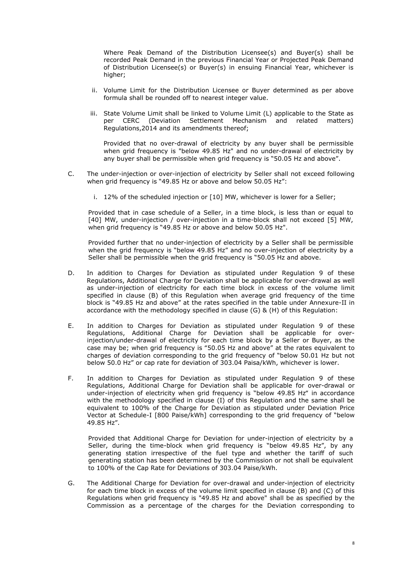Where Peak Demand of the Distribution Licensee(s) and Buyer(s) shall be recorded Peak Demand in the previous Financial Year or Projected Peak Demand of Distribution Licensee(s) or Buyer(s) in ensuing Financial Year, whichever is higher;

- ii. Volume Limit for the Distribution Licensee or Buyer determined as per above formula shall be rounded off to nearest integer value.
- iii. State Volume Limit shall be linked to Volume Limit (L) applicable to the State as per CERC (Deviation Settlement Mechanism and related matters) Regulations,2014 and its amendments thereof;

Provided that no over-drawal of electricity by any buyer shall be permissible when grid frequency is "below 49.85 Hz" and no under-drawal of electricity by any buyer shall be permissible when grid frequency is "50.05 Hz and above".

- C. The under-injection or over-injection of electricity by Seller shall not exceed following when grid frequency is  $"49.85$  Hz or above and below 50.05 Hz":
	- i. 12% of the scheduled injection or [10] MW, whichever is lower for a Seller;

Provided that in case schedule of a Seller, in a time block, is less than or equal to [40] MW, under-injection / over-injection in a time-block shall not exceed [5] MW, when grid frequency is "49.85 Hz or above and below 50.05 Hz".

Provided further that no under-injection of electricity by a Seller shall be permissible when the grid frequency is "below 49.85 Hz" and no over-injection of electricity by a Seller shall be permissible when the grid frequency is "50.05 Hz and above.

- D. In addition to Charges for Deviation as stipulated under Regulation 9 of these Regulations, Additional Charge for Deviation shall be applicable for over-drawal as well as under-injection of electricity for each time block in excess of the volume limit specified in clause (B) of this Regulation when average grid frequency of the time block is "49.85 Hz and above" at the rates specified in the table under Annexure-II in accordance with the methodology specified in clause (G) & (H) of this Regulation:
- E. In addition to Charges for Deviation as stipulated under Regulation 9 of these Regulations, Additional Charge for Deviation shall be applicable for overinjection/under-drawal of electricity for each time block by a Seller or Buyer, as the case may be; when grid frequency is "50.05 Hz and above" at the rates equivalent to charges of deviation corresponding to the grid frequency of "below 50.01 Hz but not below 50.0 Hz" or cap rate for deviation of 303.04 Paisa/kWh, whichever is lower.
- F. In addition to Charges for Deviation as stipulated under Regulation 9 of these Regulations, Additional Charge for Deviation shall be applicable for over-drawal or under-injection of electricity when grid frequency is "below 49.85 Hz" in accordance with the methodology specified in clause (I) of this Regulation and the same shall be equivalent to 100% of the Charge for Deviation as stipulated under Deviation Price Vector at Schedule-I [800 Paise/kWh] corresponding to the grid frequency of "below 49.85 Hz".

Provided that Additional Charge for Deviation for under-injection of electricity by a Seller, during the time-block when grid frequency is "below 49.85 Hz", by any generating station irrespective of the fuel type and whether the tariff of such generating station has been determined by the Commission or not shall be equivalent to 100% of the Cap Rate for Deviations of 303.04 Paise/kWh.

G. The Additional Charge for Deviation for over-drawal and under-injection of electricity for each time block in excess of the volume limit specified in clause (B) and (C) of this Regulations when grid frequency is "49.85 Hz and above" shall be as specified by the Commission as a percentage of the charges for the Deviation corresponding to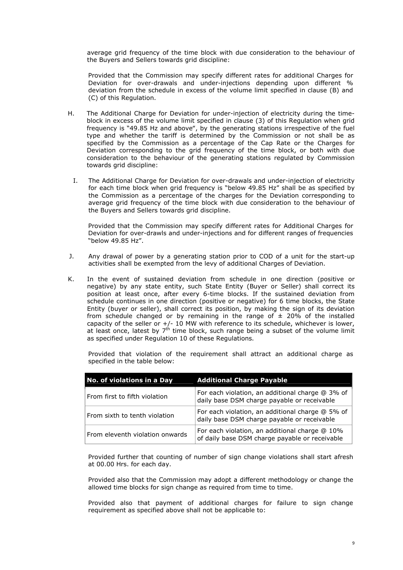average grid frequency of the time block with due consideration to the behaviour of the Buyers and Sellers towards grid discipline:

Provided that the Commission may specify different rates for additional Charges for Deviation for over-drawals and under-injections depending upon different % deviation from the schedule in excess of the volume limit specified in clause (B) and (C) of this Regulation.

- H. The Additional Charge for Deviation for under-injection of electricity during the timeblock in excess of the volume limit specified in clause (3) of this Regulation when grid frequency is "49.85 Hz and above", by the generating stations irrespective of the fuel type and whether the tariff is determined by the Commission or not shall be as specified by the Commission as a percentage of the Cap Rate or the Charges for Deviation corresponding to the grid frequency of the time block, or both with due consideration to the behaviour of the generating stations regulated by Commission towards grid discipline:
	- I. The Additional Charge for Deviation for over-drawals and under-injection of electricity for each time block when grid frequency is "below 49.85 Hz" shall be as specified by the Commission as a percentage of the charges for the Deviation corresponding to average grid frequency of the time block with due consideration to the behaviour of the Buyers and Sellers towards grid discipline.

Provided that the Commission may specify different rates for Additional Charges for Deviation for over-drawls and under-injections and for different ranges of frequencies "below 49.85 Hz".

- J. Any drawal of power by a generating station prior to COD of a unit for the start-up activities shall be exempted from the levy of additional Charges of Deviation.
- K. In the event of sustained deviation from schedule in one direction (positive or negative) by any state entity, such State Entity (Buyer or Seller) shall correct its position at least once, after every 6-time blocks. If the sustained deviation from schedule continues in one direction (positive or negative) for 6 time blocks, the State Entity (buyer or seller), shall correct its position, by making the sign of its deviation from schedule changed or by remaining in the range of  $\pm$  20% of the installed capacity of the seller or +/- 10 MW with reference to its schedule, whichever is lower, at least once, latest by 7<sup>th</sup> time block, such range being a subset of the volume limit as specified under Regulation 10 of these Regulations.

Provided that violation of the requirement shall attract an additional charge as specified in the table below:

| No. of violations in a Day      | <b>Additional Charge Payable</b>                                                                 |
|---------------------------------|--------------------------------------------------------------------------------------------------|
| From first to fifth violation   | For each violation, an additional charge @ 3% of<br>daily base DSM charge payable or receivable  |
| From sixth to tenth violation   | For each violation, an additional charge @ 5% of<br>daily base DSM charge payable or receivable  |
| From eleventh violation onwards | For each violation, an additional charge @ 10%<br>of daily base DSM charge payable or receivable |

Provided further that counting of number of sign change violations shall start afresh at 00.00 Hrs. for each day.

Provided also that the Commission may adopt a different methodology or change the allowed time blocks for sign change as required from time to time.

Provided also that payment of additional charges for failure to sign change requirement as specified above shall not be applicable to: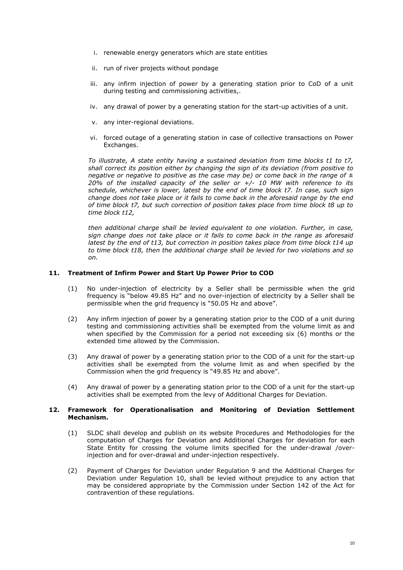- i. renewable energy generators which are state entities
- ii. run of river projects without pondage
- iii. any infirm injection of power by a generating station prior to CoD of a unit during testing and commissioning activities,.
- iv. any drawal of power by a generating station for the start-up activities of a unit.
- v. any inter-regional deviations.
- vi. forced outage of a generating station in case of collective transactions on Power Exchanges.

To illustrate, A state entity having a sustained deviation from time blocks t1 to t7, shall correct its position either by changing the sign of its deviation (from positive to negative or negative to positive as the case may be) or come back in the range of  $\pm$ 20% of the installed capacity of the seller or  $+/-$  10 MW with reference to its schedule, whichever is lower, latest by the end of time block t7. In case, such sign change does not take place or it fails to come back in the aforesaid range by the end of time block t7, but such correction of position takes place from time block t8 up to time block t12,

then additional charge shall be levied equivalent to one violation. Further, in case, sign change does not take place or it fails to come back in the range as aforesaid latest by the end of t13, but correction in position takes place from time block t14 up to time block t18, then the additional charge shall be levied for two violations and so on.

#### **11. Treatment of Infirm Power and Start Up Power Prior to COD**

- (1) No under-injection of electricity by a Seller shall be permissible when the grid frequency is "below 49.85 Hz" and no over-injection of electricity by a Seller shall be permissible when the grid frequency is "50.05 Hz and above".
- (2) Any infirm injection of power by a generating station prior to the COD of a unit during testing and commissioning activities shall be exempted from the volume limit as and when specified by the Commission for a period not exceeding six (6) months or the extended time allowed by the Commission.
- (3) Any drawal of power by a generating station prior to the COD of a unit for the start-up activities shall be exempted from the volume limit as and when specified by the Commission when the grid frequency is "49.85 Hz and above".
- (4) Any drawal of power by a generating station prior to the COD of a unit for the start-up activities shall be exempted from the levy of Additional Charges for Deviation.

#### **12. Framework for Operationalisation and Monitoring of Deviation Settlement Mechanism.**

- (1) SLDC shall develop and publish on its website Procedures and Methodologies for the computation of Charges for Deviation and Additional Charges for deviation for each State Entity for crossing the volume limits specified for the under-drawal /overinjection and for over-drawal and under-injection respectively.
- (2) Payment of Charges for Deviation under Regulation 9 and the Additional Charges for Deviation under Regulation 10, shall be levied without prejudice to any action that may be considered appropriate by the Commission under Section 142 of the Act for contravention of these regulations.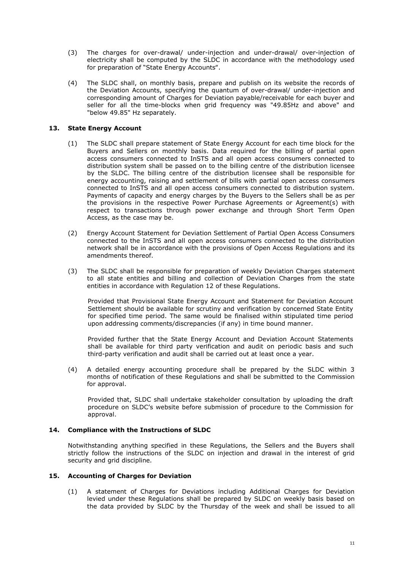- (3) The charges for over-drawal/ under-injection and under-drawal/ over-injection of electricity shall be computed by the SLDC in accordance with the methodology used for preparation of "State Energy Accounts".
- (4) The SLDC shall, on monthly basis, prepare and publish on its website the records of the Deviation Accounts, specifying the quantum of over-drawal/ under-injection and corresponding amount of Charges for Deviation payable/receivable for each buyer and seller for all the time-blocks when grid frequency was "49.85Hz and above" and "below 49.85" Hz separately.

# **13. State Energy Account**

- (1) The SLDC shall prepare statement of State Energy Account for each time block for the Buyers and Sellers on monthly basis. Data required for the billing of partial open access consumers connected to InSTS and all open access consumers connected to distribution system shall be passed on to the billing centre of the distribution licensee by the SLDC. The billing centre of the distribution licensee shall be responsible for energy accounting, raising and settlement of bills with partial open access consumers connected to InSTS and all open access consumers connected to distribution system. Payments of capacity and energy charges by the Buyers to the Sellers shall be as per the provisions in the respective Power Purchase Agreements or Agreement(s) with respect to transactions through power exchange and through Short Term Open Access, as the case may be.
- (2) Energy Account Statement for Deviation Settlement of Partial Open Access Consumers connected to the InSTS and all open access consumers connected to the distribution network shall be in accordance with the provisions of Open Access Regulations and its amendments thereof.
- (3) The SLDC shall be responsible for preparation of weekly Deviation Charges statement to all state entities and billing and collection of Deviation Charges from the state entities in accordance with Regulation 12 of these Regulations.

Provided that Provisional State Energy Account and Statement for Deviation Account Settlement should be available for scrutiny and verification by concerned State Entity for specified time period. The same would be finalised within stipulated time period upon addressing comments/discrepancies (if any) in time bound manner.

Provided further that the State Energy Account and Deviation Account Statements shall be available for third party verification and audit on periodic basis and such third-party verification and audit shall be carried out at least once a year.

(4) A detailed energy accounting procedure shall be prepared by the SLDC within 3 months of notification of these Regulations and shall be submitted to the Commission for approval.

Provided that, SLDC shall undertake stakeholder consultation by uploading the draft procedure on SLDCís website before submission of procedure to the Commission for approval.

# **14. Compliance with the Instructions of SLDC**

Notwithstanding anything specified in these Regulations, the Sellers and the Buyers shall strictly follow the instructions of the SLDC on injection and drawal in the interest of grid security and grid discipline.

# **15. Accounting of Charges for Deviation**

(1) A statement of Charges for Deviations including Additional Charges for Deviation levied under these Regulations shall be prepared by SLDC on weekly basis based on the data provided by SLDC by the Thursday of the week and shall be issued to all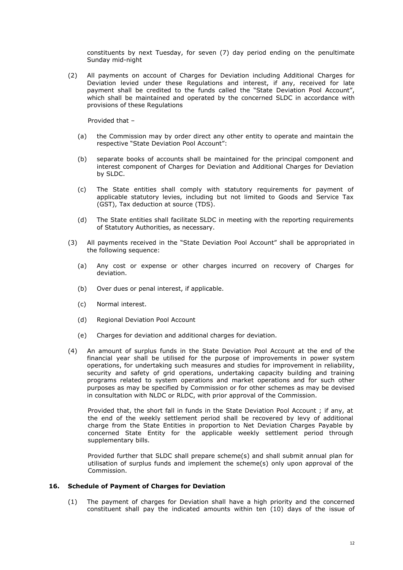constituents by next Tuesday, for seven (7) day period ending on the penultimate Sunday mid-night

(2) All payments on account of Charges for Deviation including Additional Charges for Deviation levied under these Regulations and interest, if any, received for late payment shall be credited to the funds called the "State Deviation Pool Account", which shall be maintained and operated by the concerned SLDC in accordance with provisions of these Regulations

Provided that  $-$ 

- (a) the Commission may by order direct any other entity to operate and maintain the respective "State Deviation Pool Account":
- (b) separate books of accounts shall be maintained for the principal component and interest component of Charges for Deviation and Additional Charges for Deviation by SLDC.
- (c) The State entities shall comply with statutory requirements for payment of applicable statutory levies, including but not limited to Goods and Service Tax (GST), Tax deduction at source (TDS).
- (d) The State entities shall facilitate SLDC in meeting with the reporting requirements of Statutory Authorities, as necessary.
- (3) All payments received in the "State Deviation Pool Account" shall be appropriated in the following sequence:
	- (a) Any cost or expense or other charges incurred on recovery of Charges for deviation.
	- (b) Over dues or penal interest, if applicable.
	- (c) Normal interest.
	- (d) Regional Deviation Pool Account
	- (e) Charges for deviation and additional charges for deviation.
- (4) An amount of surplus funds in the State Deviation Pool Account at the end of the financial year shall be utilised for the purpose of improvements in power system operations, for undertaking such measures and studies for improvement in reliability, security and safety of grid operations, undertaking capacity building and training programs related to system operations and market operations and for such other purposes as may be specified by Commission or for other schemes as may be devised in consultation with NLDC or RLDC, with prior approval of the Commission.

Provided that, the short fall in funds in the State Deviation Pool Account ; if any, at the end of the weekly settlement period shall be recovered by levy of additional charge from the State Entities in proportion to Net Deviation Charges Payable by concerned State Entity for the applicable weekly settlement period through supplementary bills.

Provided further that SLDC shall prepare scheme(s) and shall submit annual plan for utilisation of surplus funds and implement the scheme(s) only upon approval of the Commission.

# **16. Schedule of Payment of Charges for Deviation**

(1) The payment of charges for Deviation shall have a high priority and the concerned constituent shall pay the indicated amounts within ten (10) days of the issue of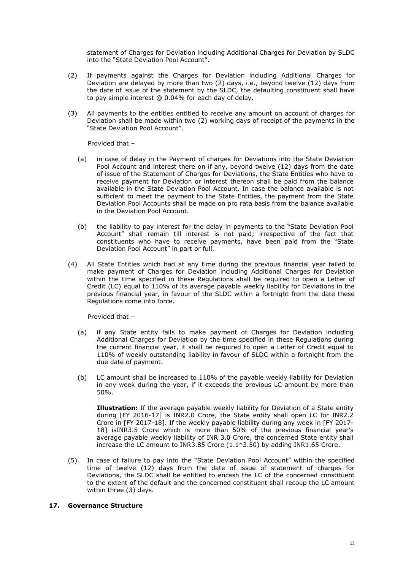statement of Charges for Deviation including Additional Charges for Deviation by SLDC into the "State Deviation Pool Account".

- (2) If payments against the Charges for Deviation including Additional Charges for Deviation are delayed by more than two (2) days, i.e., beyond twelve (12) days from the date of issue of the statement by the SLDC, the defaulting constituent shall have to pay simple interest @ 0.04% for each day of delay.
- (3) All payments to the entities entitled to receive any amount on account of charges for Deviation shall be made within two (2) working days of receipt of the payments in the "State Deviation Pool Account".

Provided that  $-$ 

- (a) in case of delay in the Payment of charges for Deviations into the State Deviation Pool Account and interest there on if any, beyond twelve (12) days from the date of issue of the Statement of Charges for Deviations, the State Entities who have to receive payment for Deviation or interest thereon shall be paid from the balance available in the State Deviation Pool Account. In case the balance available is not sufficient to meet the payment to the State Entities, the payment from the State Deviation Pool Accounts shall be made on pro rata basis from the balance available in the Deviation Pool Account.
- (b) the liability to pay interest for the delay in payments to the "State Deviation Pool Account" shall remain till interest is not paid; irrespective of the fact that constituents who have to receive payments, have been paid from the "State Deviation Pool Account" in part or full.
- (4) All State Entities which had at any time during the previous financial year failed to make payment of Charges for Deviation including Additional Charges for Deviation within the time specified in these Regulations shall be required to open a Letter of Credit (LC) equal to 110% of its average payable weekly liability for Deviations in the previous financial year, in favour of the SLDC within a fortnight from the date these Regulations come into force.

Provided that  $-$ 

- (a) if any State entity fails to make payment of Charges for Deviation including Additional Charges for Deviation by the time specified in these Regulations during the current financial year, it shall be required to open a Letter of Credit equal to 110% of weekly outstanding liability in favour of SLDC within a fortnight from the due date of payment.
- (b) LC amount shall be increased to 110% of the payable weekly liability for Deviation in any week during the year, if it exceeds the previous LC amount by more than 50%.

**Illustration:** If the average payable weekly liability for Deviation of a State entity during [FY 2016-17] is INR2.0 Crore, the State entity shall open LC for INR2.2 Crore in [FY 2017-18]. If the weekly payable liability during any week in [FY 2017- 18] isINR3.5 Crore which is more than 50% of the previous financial yearís average payable weekly liability of INR 3.0 Crore, the concerned State entity shall increase the LC amount to INR3.85 Crore (1.1\*3.50) by adding INR1.65 Crore.

(5) In case of failure to pay into the "State Deviation Pool Account" within the specified time of twelve (12) days from the date of issue of statement of charges for Deviations, the SLDC shall be entitled to encash the LC of the concerned constituent to the extent of the default and the concerned constituent shall recoup the LC amount within three (3) days.

# **17. Governance Structure**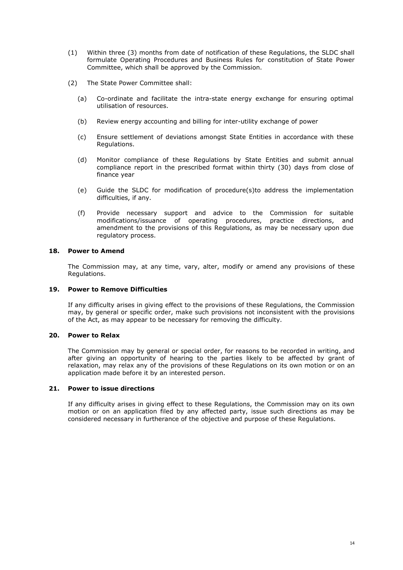- (1) Within three (3) months from date of notification of these Regulations, the SLDC shall formulate Operating Procedures and Business Rules for constitution of State Power Committee, which shall be approved by the Commission.
- (2) The State Power Committee shall:
	- (a) Co-ordinate and facilitate the intra-state energy exchange for ensuring optimal utilisation of resources.
	- (b) Review energy accounting and billing for inter-utility exchange of power
	- (c) Ensure settlement of deviations amongst State Entities in accordance with these Regulations.
	- (d) Monitor compliance of these Regulations by State Entities and submit annual compliance report in the prescribed format within thirty (30) days from close of finance year
	- (e) Guide the SLDC for modification of procedure(s)to address the implementation difficulties, if any.
	- (f) Provide necessary support and advice to the Commission for suitable modifications/issuance of operating procedures, practice directions, and amendment to the provisions of this Regulations, as may be necessary upon due regulatory process.

#### **18. Power to Amend**

The Commission may, at any time, vary, alter, modify or amend any provisions of these Regulations.

# **19. Power to Remove Difficulties**

If any difficulty arises in giving effect to the provisions of these Regulations, the Commission may, by general or specific order, make such provisions not inconsistent with the provisions of the Act, as may appear to be necessary for removing the difficulty.

# **20. Power to Relax**

The Commission may by general or special order, for reasons to be recorded in writing, and after giving an opportunity of hearing to the parties likely to be affected by grant of relaxation, may relax any of the provisions of these Regulations on its own motion or on an application made before it by an interested person.

# **21. Power to issue directions**

If any difficulty arises in giving effect to these Regulations, the Commission may on its own motion or on an application filed by any affected party, issue such directions as may be considered necessary in furtherance of the objective and purpose of these Regulations.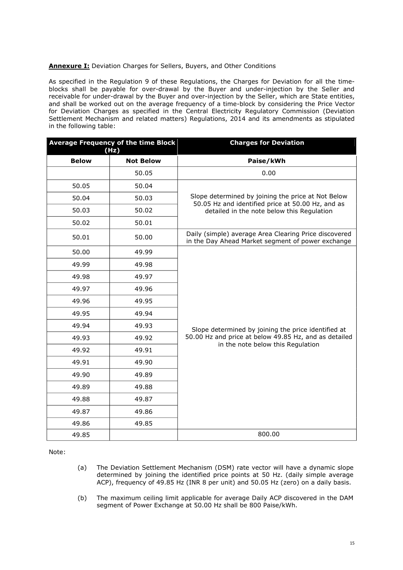# **Annexure I:** Deviation Charges for Sellers, Buyers, and Other Conditions

As specified in the Regulation 9 of these Regulations, the Charges for Deviation for all the timeblocks shall be payable for over-drawal by the Buyer and under-injection by the Seller and receivable for under-drawal by the Buyer and over-injection by the Seller, which are State entities, and shall be worked out on the average frequency of a time-block by considering the Price Vector for Deviation Charges as specified in the Central Electricity Regulatory Commission (Deviation Settlement Mechanism and related matters) Regulations, 2014 and its amendments as stipulated in the following table:

| Average Frequency of the time Block<br>(Hz) |                  | <b>Charges for Deviation</b>                                                                               |
|---------------------------------------------|------------------|------------------------------------------------------------------------------------------------------------|
| <b>Below</b>                                | <b>Not Below</b> | Paise/kWh                                                                                                  |
|                                             | 50.05            | 0.00                                                                                                       |
| 50.05                                       | 50.04            |                                                                                                            |
| 50.04                                       | 50.03            | Slope determined by joining the price at Not Below<br>50.05 Hz and identified price at 50.00 Hz, and as    |
| 50.03                                       | 50.02            | detailed in the note below this Regulation                                                                 |
| 50.02                                       | 50.01            |                                                                                                            |
| 50.01                                       | 50.00            | Daily (simple) average Area Clearing Price discovered<br>in the Day Ahead Market segment of power exchange |
| 50.00                                       | 49.99            |                                                                                                            |
| 49.99                                       | 49.98            |                                                                                                            |
| 49.98                                       | 49.97            |                                                                                                            |
| 49.97                                       | 49.96            |                                                                                                            |
| 49.96                                       | 49.95            |                                                                                                            |
| 49.95                                       | 49.94            |                                                                                                            |
| 49.94                                       | 49.93            | Slope determined by joining the price identified at                                                        |
| 49.93                                       | 49.92            | 50.00 Hz and price at below 49.85 Hz, and as detailed<br>in the note below this Regulation                 |
| 49.92                                       | 49.91            |                                                                                                            |
| 49.91                                       | 49.90            |                                                                                                            |
| 49.90                                       | 49.89            |                                                                                                            |
| 49.89                                       | 49.88            |                                                                                                            |
| 49.88                                       | 49.87            |                                                                                                            |
| 49.87                                       | 49.86            |                                                                                                            |
| 49.86                                       | 49.85            |                                                                                                            |
| 49.85                                       |                  | 800.00                                                                                                     |

Note:

- (a) The Deviation Settlement Mechanism (DSM) rate vector will have a dynamic slope determined by joining the identified price points at 50 Hz. (daily simple average ACP), frequency of 49.85 Hz (INR 8 per unit) and 50.05 Hz (zero) on a daily basis.
- (b) The maximum ceiling limit applicable for average Daily ACP discovered in the DAM segment of Power Exchange at 50.00 Hz shall be 800 Paise/kWh.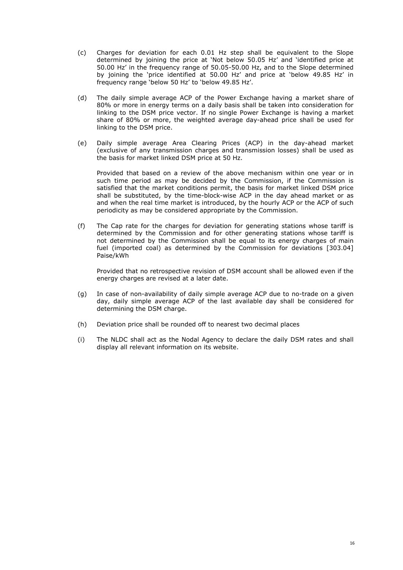- (c) Charges for deviation for each 0.01 Hz step shall be equivalent to the Slope determined by joining the price at 'Not below 50.05 Hz' and 'identified price at 50.00 Hzí in the frequency range of 50.05-50.00 Hz, and to the Slope determined by joining the 'price identified at 50.00 Hz' and price at 'below 49.85 Hz' in frequency range 'below 50 Hz' to 'below 49.85 Hz'.
- (d) The daily simple average ACP of the Power Exchange having a market share of 80% or more in energy terms on a daily basis shall be taken into consideration for linking to the DSM price vector. If no single Power Exchange is having a market share of 80% or more, the weighted average day-ahead price shall be used for linking to the DSM price.
- (e) Daily simple average Area Clearing Prices (ACP) in the day-ahead market (exclusive of any transmission charges and transmission losses) shall be used as the basis for market linked DSM price at 50 Hz.

Provided that based on a review of the above mechanism within one year or in such time period as may be decided by the Commission, if the Commission is satisfied that the market conditions permit, the basis for market linked DSM price shall be substituted, by the time-block-wise ACP in the day ahead market or as and when the real time market is introduced, by the hourly ACP or the ACP of such periodicity as may be considered appropriate by the Commission.

(f) The Cap rate for the charges for deviation for generating stations whose tariff is determined by the Commission and for other generating stations whose tariff is not determined by the Commission shall be equal to its energy charges of main fuel (imported coal) as determined by the Commission for deviations [303.04] Paise/kWh

Provided that no retrospective revision of DSM account shall be allowed even if the energy charges are revised at a later date.

- (g) In case of non-availability of daily simple average ACP due to no-trade on a given day, daily simple average ACP of the last available day shall be considered for determining the DSM charge.
- (h) Deviation price shall be rounded off to nearest two decimal places
- (i) The NLDC shall act as the Nodal Agency to declare the daily DSM rates and shall display all relevant information on its website.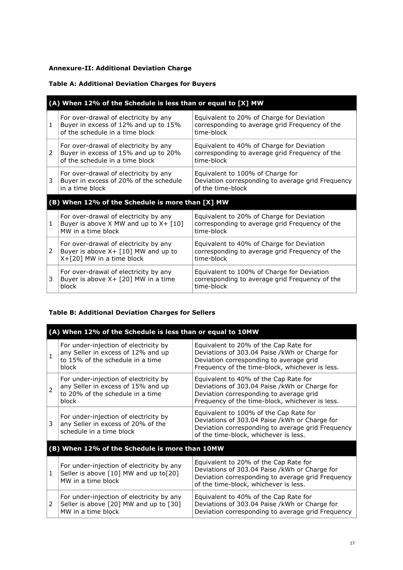# **Annexure-II: Additional Deviation Charge**

# **Table A: Additional Deviation Charges for Buyers**

| (A) When 12% of the Schedule is less than or equal to [X] MW |                                                                                                                  |                                                                                                            |
|--------------------------------------------------------------|------------------------------------------------------------------------------------------------------------------|------------------------------------------------------------------------------------------------------------|
| 1                                                            | For over-drawal of electricity by any<br>Buyer in excess of 12% and up to 15%<br>of the schedule in a time block | Equivalent to 20% of Charge for Deviation<br>corresponding to average grid Frequency of the<br>time-block  |
| 2                                                            | For over-drawal of electricity by any<br>Buyer in excess of 15% and up to 20%<br>of the schedule in a time block | Equivalent to 40% of Charge for Deviation<br>corresponding to average grid Frequency of the<br>time-block  |
| 3                                                            | For over-drawal of electricity by any<br>Buyer in excess of 20% of the schedule<br>in a time block               | Equivalent to 100% of Charge for<br>Deviation corresponding to average grid Frequency<br>of the time-block |
| (B) When 12% of the Schedule is more than [X] MW             |                                                                                                                  |                                                                                                            |
| 1                                                            | For over-drawal of electricity by any<br>Buyer is above X MW and up to $X + [10]$<br>MW in a time block          | Equivalent to 20% of Charge for Deviation<br>corresponding to average grid Frequency of the<br>time-block  |
| 2                                                            | For over-drawal of electricity by any<br>Buyer is above $X + [10]$ MW and up to<br>X+[20] MW in a time block     | Equivalent to 40% of Charge for Deviation<br>corresponding to average grid Frequency of the<br>time-block  |
| 3                                                            | For over-drawal of electricity by any<br>Buyer is above $X + [20]$ MW in a time<br>block                         | Equivalent to 100% of Charge for Deviation<br>corresponding to average grid Frequency of the<br>time-block |

# **Table B: Additional Deviation Charges for Sellers**

| (A) When 12% of the Schedule is less than or equal to 10MW |                                                                                                                          |                                                                                                                                                                                       |
|------------------------------------------------------------|--------------------------------------------------------------------------------------------------------------------------|---------------------------------------------------------------------------------------------------------------------------------------------------------------------------------------|
| $\mathbf{1}$                                               | For under-injection of electricity by<br>any Seller in excess of 12% and up<br>to 15% of the schedule in a time<br>block | Equivalent to 20% of the Cap Rate for<br>Deviations of 303.04 Paise /kWh or Charge for<br>Deviation corresponding to average grid<br>Frequency of the time-block, whichever is less.  |
| $\overline{2}$                                             | For under-injection of electricity by<br>any Seller in excess of 15% and up<br>to 20% of the schedule in a time<br>block | Equivalent to 40% of the Cap Rate for<br>Deviations of 303.04 Paise /kWh or Charge for<br>Deviation corresponding to average grid<br>Frequency of the time-block, whichever is less.  |
| 3                                                          | For under-injection of electricity by<br>any Seller in excess of 20% of the<br>schedule in a time block                  | Equivalent to 100% of the Cap Rate for<br>Deviations of 303.04 Paise /kWh or Charge for<br>Deviation corresponding to average grid Frequency<br>of the time-block, whichever is less. |
| (B) When 12% of the Schedule is more than 10MW             |                                                                                                                          |                                                                                                                                                                                       |
| 1                                                          | For under-injection of electricity by any<br>Seller is above [10] MW and up to [20]<br>MW in a time block                | Equivalent to 20% of the Cap Rate for<br>Deviations of 303.04 Paise /kWh or Charge for<br>Deviation corresponding to average grid Frequency<br>of the time-block, whichever is less.  |
| 2                                                          | For under-injection of electricity by any<br>Seller is above [20] MW and up to [30]<br>MW in a time block                | Equivalent to 40% of the Cap Rate for<br>Deviations of 303.04 Paise /kWh or Charge for<br>Deviation corresponding to average grid Frequency                                           |